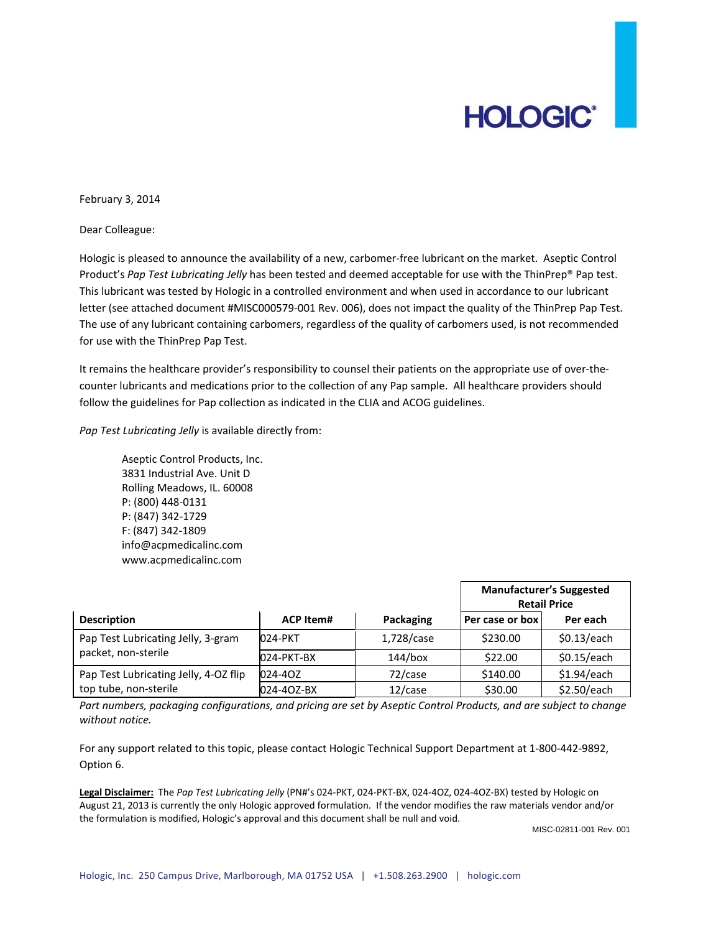# **HOLOGIC®**

February 3, 2014

Dear Colleague:

Hologic is pleased to announce the availability of a new, carbomer‐free lubricant on the market. Aseptic Control Product's *Pap Test Lubricating Jelly* has been tested and deemed acceptable for use with the ThinPrep® Pap test. This lubricant was tested by Hologic in a controlled environment and when used in accordance to our lubricant letter (see attached document #MISC000579‐001 Rev. 006), does not impact the quality of the ThinPrep Pap Test. The use of any lubricant containing carbomers, regardless of the quality of carbomers used, is not recommended for use with the ThinPrep Pap Test.

It remains the healthcare provider's responsibility to counsel their patients on the appropriate use of over-thecounter lubricants and medications prior to the collection of any Pap sample. All healthcare providers should follow the guidelines for Pap collection as indicated in the CLIA and ACOG guidelines.

*Pap Test Lubricating Jelly* is available directly from:

Aseptic Control Products, Inc. 3831 Industrial Ave. Unit D Rolling Meadows, IL. 60008 P: (800) 448‐0131 P: (847) 342‐1729 F: (847) 342‐1809 info@acpmedicalinc.com www.acpmedicalinc.com

|                                                                |                  |            | <b>Manufacturer's Suggested</b><br><b>Retail Price</b> |             |
|----------------------------------------------------------------|------------------|------------|--------------------------------------------------------|-------------|
| <b>Description</b>                                             | <b>ACP Item#</b> | Packaging  | Per case or box                                        | Per each    |
| Pap Test Lubricating Jelly, 3-gram<br>packet, non-sterile      | 024-PKT          | 1,728/case | \$230.00                                               | \$0.13/each |
|                                                                | 024-PKT-BX       | 144/box    | \$22.00                                                | \$0.15/each |
| Pap Test Lubricating Jelly, 4-OZ flip<br>top tube, non-sterile | 024-40Z          | 72/case    | \$140.00                                               | \$1.94/each |
|                                                                | 024-40Z-BX       | 12/case    | \$30.00                                                | \$2.50/each |

Part numbers, packaging configurations, and pricing are set by Aseptic Control Products, and are subject to change *without notice.*

For any support related to this topic, please contact Hologic Technical Support Department at 1‐800‐442‐9892, Option 6.

**Legal Disclaimer:** The *Pap Test Lubricating Jelly* (PN#'s 024‐PKT, 024‐PKT‐BX, 024‐4OZ, 024‐4OZ‐BX) tested by Hologic on August 21, 2013 is currently the only Hologic approved formulation. If the vendor modifies the raw materials vendor and/or the formulation is modified, Hologic's approval and this document shall be null and void.

MISC-02811-001 Rev. 001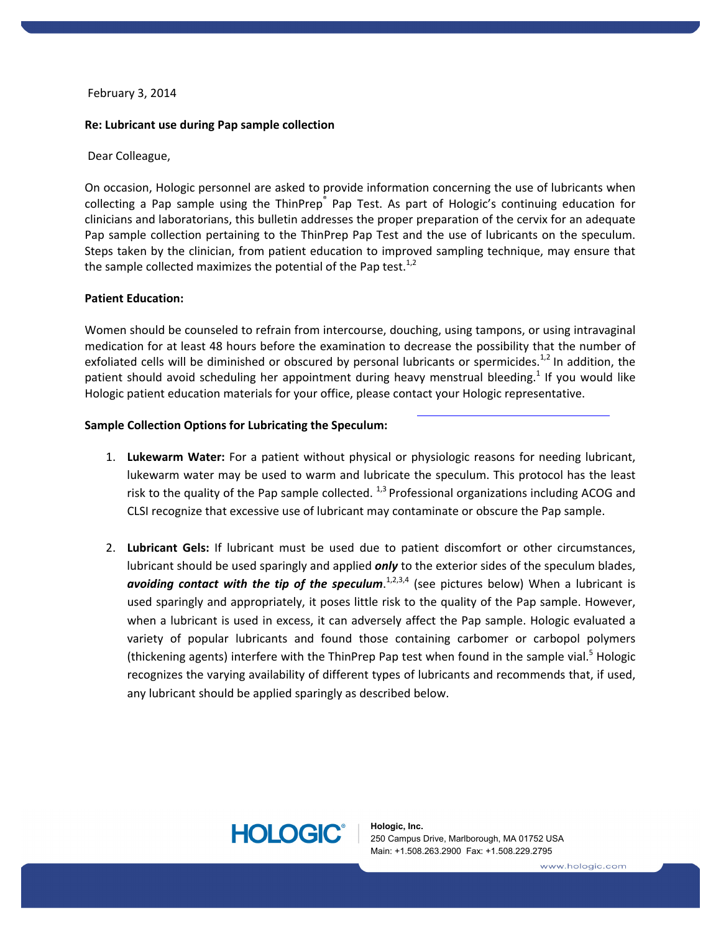# February 3, 2014

# **Re: Lubricant use during Pap sample collection**

# Dear Colleague,

On occasion, Hologic personnel are asked to provide information concerning the use of lubricants when collecting a Pap sample using the ThinPrep® Pap Test. As part of Hologic's continuing education for clinicians and laboratorians, this bulletin addresses the proper preparation of the cervix for an adequate Pap sample collection pertaining to the ThinPrep Pap Test and the use of lubricants on the speculum. Steps taken by the clinician, from patient education to improved sampling technique, may ensure that the sample collected maximizes the potential of the Pap test.<sup>1,2</sup>

### **Patient Education:**

Women should be counseled to refrain from intercourse, douching, using tampons, or using intravaginal medication for at least 48 hours before the examination to decrease the possibility that the number of exfoliated cells will be diminished or obscured by personal lubricants or spermicides.<sup>1,2</sup> In addition, the patient should avoid scheduling her appointment during heavy menstrual bleeding.<sup>1</sup> If you would like Hologic patient education materials for your office, please contact your Hologic representative.

### **Sample Collection Options for Lubricating the Speculum:**

- 1. **Lukewarm Water:** For a patient without physical or physiologic reasons for needing lubricant, lukewarm water may be used to warm and lubricate the speculum. This protocol has the least risk to the quality of the Pap sample collected.  $^{1,3}$  Professional organizations including ACOG and CLSI recognize that excessive use of lubricant may contaminate or obscure the Pap sample.
- 2. **Lubricant Gels:** If lubricant must be used due to patient discomfort or other circumstances, lubricant should be used sparingly and applied *only* to the exterior sides of the speculum blades, *avoiding contact with the tip of the speculum*. 1,2,3,4 (see pictures below) When a lubricant is used sparingly and appropriately, it poses little risk to the quality of the Pap sample. However, when a lubricant is used in excess, it can adversely affect the Pap sample. Hologic evaluated a variety of popular lubricants and found those containing carbomer or carbopol polymers (thickening agents) interfere with the ThinPrep Pap test when found in the sample vial.<sup>5</sup> Hologic recognizes the varying availability of different types of lubricants and recommends that, if used, any lubricant should be applied sparingly as described below.